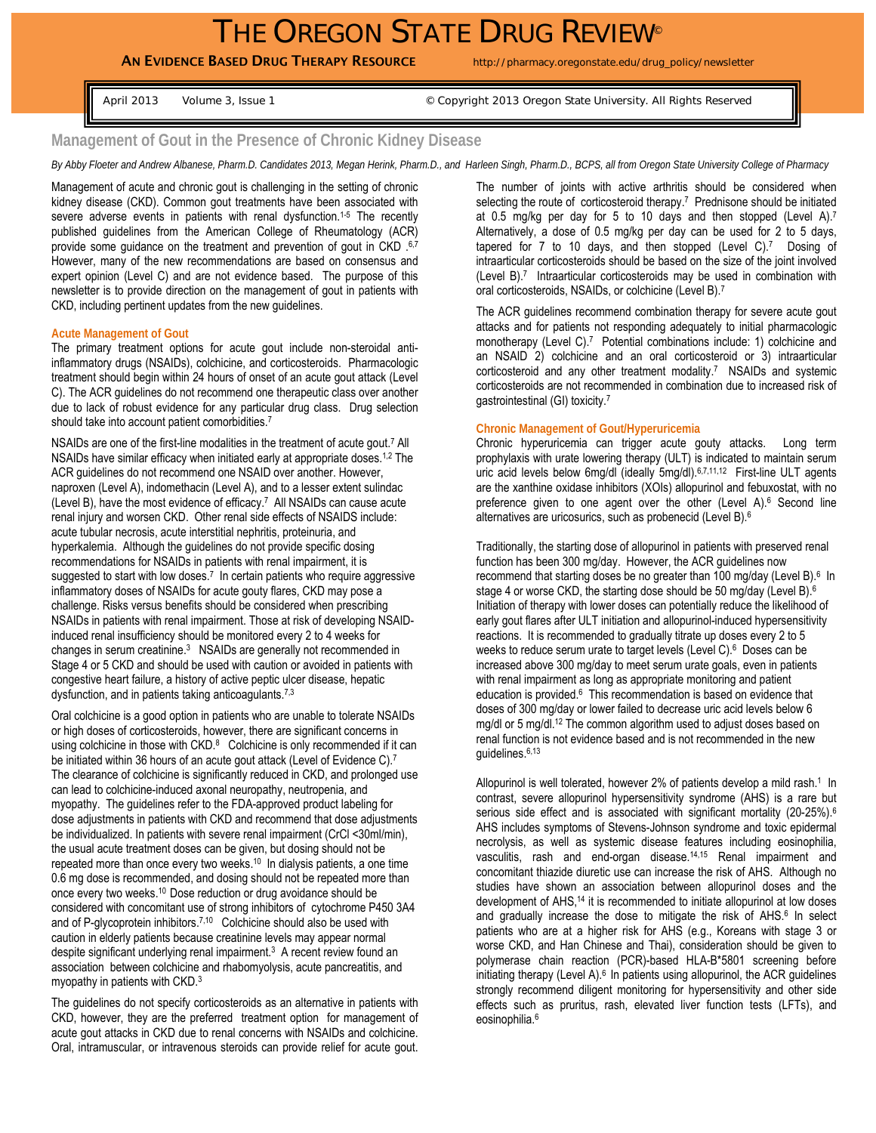# THE OREGON STATE DRUG REVIEW®

# AN EVIDENCE BASED DRUG THERAPY RESOURCE http://pharmacy.oregonstate.edu/drug\_policy/newsletter

April 2013 Volume 3, Issue 1 **Drawing State 3, Issue 1** © Copyright 2013 Oregon State University. All Rights Reserved

# **Management of Gout in the Presence of Chronic Kidney Disease**

*By Abby Floeter and Andrew Albanese, Pharm.D. Candidates 2013, Megan Herink, Pharm.D., and Harleen Singh, Pharm.D., BCPS, all from Oregon State University College of Pharmacy* 

Management of acute and chronic gout is challenging in the setting of chronic kidney disease (CKD). Common gout treatments have been associated with severe adverse events in patients with renal dysfunction.<sup>1-5</sup> The recently published guidelines from the American College of Rheumatology (ACR) provide some guidance on the treatment and prevention of gout in CKD .6,7 However, many of the new recommendations are based on consensus and expert opinion (Level C) and are not evidence based. The purpose of this newsletter is to provide direction on the management of gout in patients with CKD, including pertinent updates from the new guidelines.

#### **Acute Management of Gout**

The primary treatment options for acute gout include non-steroidal antiinflammatory drugs (NSAIDs), colchicine, and corticosteroids. Pharmacologic treatment should begin within 24 hours of onset of an acute gout attack (Level C). The ACR guidelines do not recommend one therapeutic class over another due to lack of robust evidence for any particular drug class. Drug selection should take into account patient comorbidities.7

NSAIDs are one of the first-line modalities in the treatment of acute gout.<sup>7</sup> All NSAIDs have similar efficacy when initiated early at appropriate doses.1,2 The ACR guidelines do not recommend one NSAID over another. However, naproxen (Level A), indomethacin (Level A), and to a lesser extent sulindac (Level B), have the most evidence of efficacy.<sup>7</sup> All NSAIDs can cause acute renal injury and worsen CKD. Other renal side effects of NSAIDS include: acute tubular necrosis, acute interstitial nephritis, proteinuria, and hyperkalemia. Although the guidelines do not provide specific dosing recommendations for NSAIDs in patients with renal impairment, it is suggested to start with low doses.<sup>7</sup> In certain patients who require aggressive inflammatory doses of NSAIDs for acute gouty flares, CKD may pose a challenge. Risks versus benefits should be considered when prescribing NSAIDs in patients with renal impairment. Those at risk of developing NSAIDinduced renal insufficiency should be monitored every 2 to 4 weeks for changes in serum creatinine.3 NSAIDs are generally not recommended in Stage 4 or 5 CKD and should be used with caution or avoided in patients with congestive heart failure, a history of active peptic ulcer disease, hepatic dysfunction, and in patients taking anticoagulants.<sup>7,3</sup>

Oral colchicine is a good option in patients who are unable to tolerate NSAIDs or high doses of corticosteroids, however, there are significant concerns in using colchicine in those with CKD.<sup>8</sup> Colchicine is only recommended if it can be initiated within 36 hours of an acute gout attack (Level of Evidence C).<sup>7</sup> The clearance of colchicine is significantly reduced in CKD, and prolonged use can lead to colchicine-induced axonal neuropathy, neutropenia, and myopathy. The guidelines refer to the FDA-approved product labeling for dose adjustments in patients with CKD and recommend that dose adjustments be individualized. In patients with severe renal impairment (CrCl <30ml/min), the usual acute treatment doses can be given, but dosing should not be repeated more than once every two weeks.<sup>10</sup> In dialysis patients, a one time 0.6 mg dose is recommended, and dosing should not be repeated more than once every two weeks.10 Dose reduction or drug avoidance should be considered with concomitant use of strong inhibitors of cytochrome P450 3A4 and of P-glycoprotein inhibitors.<sup>7,10</sup> Colchicine should also be used with caution in elderly patients because creatinine levels may appear normal despite significant underlying renal impairment.<sup>3</sup> A recent review found an association between colchicine and rhabomyolysis, acute pancreatitis, and myopathy in patients with CKD.3

The guidelines do not specify corticosteroids as an alternative in patients with CKD, however, they are the preferred treatment option for management of acute gout attacks in CKD due to renal concerns with NSAIDs and colchicine. Oral, intramuscular, or intravenous steroids can provide relief for acute gout.

The number of joints with active arthritis should be considered when selecting the route of corticosteroid therapy.<sup>7</sup> Prednisone should be initiated at 0.5 mg/kg per day for 5 to 10 days and then stopped (Level A).7 Alternatively, a dose of 0.5 mg/kg per day can be used for 2 to 5 days, tapered for 7 to 10 days, and then stopped (Level C).<sup>7</sup> Dosing of intraarticular corticosteroids should be based on the size of the joint involved (Level B).7 Intraarticular corticosteroids may be used in combination with oral corticosteroids, NSAIDs, or colchicine (Level B).7

The ACR guidelines recommend combination therapy for severe acute gout attacks and for patients not responding adequately to initial pharmacologic monotherapy (Level C).<sup>7</sup> Potential combinations include: 1) colchicine and an NSAID 2) colchicine and an oral corticosteroid or 3) intraarticular corticosteroid and any other treatment modality.<sup>7</sup> NSAIDs and systemic corticosteroids are not recommended in combination due to increased risk of gastrointestinal (GI) toxicity.7

#### **Chronic Management of Gout/Hyperuricemia**

Chronic hyperuricemia can trigger acute gouty attacks. Long term prophylaxis with urate lowering therapy (ULT) is indicated to maintain serum uric acid levels below 6mg/dl (ideally 5mg/dl). 6,7,11,12 First-line ULT agents are the xanthine oxidase inhibitors (XOIs) allopurinol and febuxostat, with no preference given to one agent over the other (Level A).<sup>6</sup> Second line alternatives are uricosurics, such as probenecid (Level B).6

Traditionally, the starting dose of allopurinol in patients with preserved renal function has been 300 mg/day. However, the ACR guidelines now recommend that starting doses be no greater than 100 mg/day (Level B).<sup>6</sup> In stage 4 or worse CKD, the starting dose should be 50 mg/day (Level B).<sup>6</sup> Initiation of therapy with lower doses can potentially reduce the likelihood of early gout flares after ULT initiation and allopurinol-induced hypersensitivity reactions. It is recommended to gradually titrate up doses every 2 to 5 weeks to reduce serum urate to target levels (Level C).<sup>6</sup> Doses can be increased above 300 mg/day to meet serum urate goals, even in patients with renal impairment as long as appropriate monitoring and patient education is provided.<sup>6</sup> This recommendation is based on evidence that doses of 300 mg/day or lower failed to decrease uric acid levels below 6 mg/dl or 5 mg/dl.12 The common algorithm used to adjust doses based on renal function is not evidence based and is not recommended in the new guidelines.6,13

Allopurinol is well tolerated, however 2% of patients develop a mild rash.<sup>1</sup> In contrast, severe allopurinol hypersensitivity syndrome (AHS) is a rare but serious side effect and is associated with significant mortality (20-25%).<sup>6</sup> AHS includes symptoms of Stevens-Johnson syndrome and toxic epidermal necrolysis, as well as systemic disease features including eosinophilia, vasculitis, rash and end-organ disease.14,15 Renal impairment and concomitant thiazide diuretic use can increase the risk of AHS. Although no studies have shown an association between allopurinol doses and the development of AHS,<sup>14</sup> it is recommended to initiate allopurinol at low doses and gradually increase the dose to mitigate the risk of AHS.<sup>6</sup> In select patients who are at a higher risk for AHS (e.g., Koreans with stage 3 or worse CKD, and Han Chinese and Thai), consideration should be given to polymerase chain reaction (PCR)-based HLA-B\*5801 screening before initiating therapy (Level A).<sup>6</sup> In patients using allopurinol, the ACR guidelines strongly recommend diligent monitoring for hypersensitivity and other side effects such as pruritus, rash, elevated liver function tests (LFTs), and eosinophilia.<sup>6</sup>